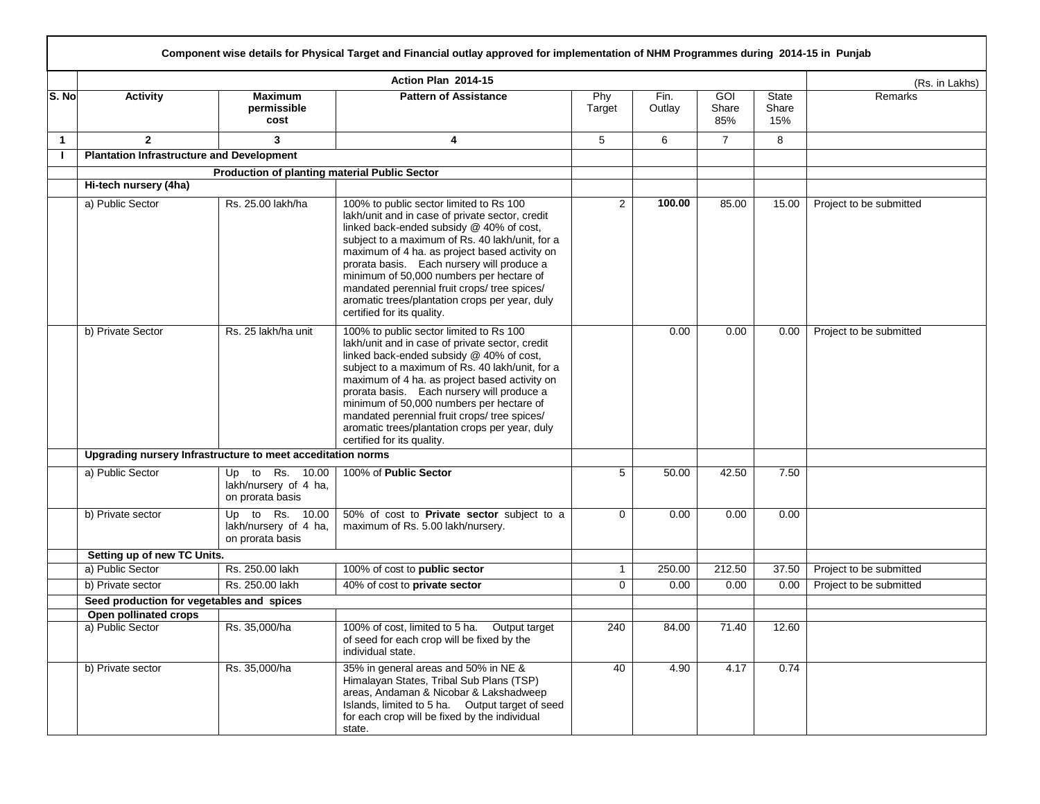|              |                                                  |                                                              | Action Plan 2014-15                                                                                                                                                                                                                                                                                                                                                                                                                                                  |                 |                |                            |                       | (Rs. in Lakhs)          |
|--------------|--------------------------------------------------|--------------------------------------------------------------|----------------------------------------------------------------------------------------------------------------------------------------------------------------------------------------------------------------------------------------------------------------------------------------------------------------------------------------------------------------------------------------------------------------------------------------------------------------------|-----------------|----------------|----------------------------|-----------------------|-------------------------|
| S. No        | <b>Activity</b>                                  | <b>Maximum</b><br>permissible<br>cost                        | <b>Pattern of Assistance</b>                                                                                                                                                                                                                                                                                                                                                                                                                                         | Phy<br>Target   | Fin.<br>Outlay | <b>GOI</b><br>Share<br>85% | State<br>Share<br>15% | Remarks                 |
| $\mathbf{1}$ | $\mathbf{2}$                                     | $\mathbf{3}$                                                 | 4                                                                                                                                                                                                                                                                                                                                                                                                                                                                    | $5\phantom{.0}$ | 6              | $\overline{7}$             | 8                     |                         |
| $\mathbf{I}$ | <b>Plantation Infrastructure and Development</b> |                                                              |                                                                                                                                                                                                                                                                                                                                                                                                                                                                      |                 |                |                            |                       |                         |
|              |                                                  | Production of planting material Public Sector                |                                                                                                                                                                                                                                                                                                                                                                                                                                                                      |                 |                |                            |                       |                         |
|              | Hi-tech nursery (4ha)                            |                                                              |                                                                                                                                                                                                                                                                                                                                                                                                                                                                      |                 |                |                            |                       |                         |
|              | a) Public Sector                                 | Rs. 25.00 lakh/ha                                            | 100% to public sector limited to Rs 100<br>lakh/unit and in case of private sector, credit<br>linked back-ended subsidy @ 40% of cost,<br>subject to a maximum of Rs. 40 lakh/unit, for a<br>maximum of 4 ha. as project based activity on<br>prorata basis. Each nursery will produce a<br>minimum of 50,000 numbers per hectare of<br>mandated perennial fruit crops/ tree spices/<br>aromatic trees/plantation crops per year, duly<br>certified for its quality. | $\overline{2}$  | 100.00         | 85.00                      | 15.00                 | Project to be submitted |
|              | b) Private Sector                                | Rs. 25 lakh/ha unit                                          | 100% to public sector limited to Rs 100<br>lakh/unit and in case of private sector, credit<br>linked back-ended subsidy @ 40% of cost,<br>subject to a maximum of Rs. 40 lakh/unit, for a<br>maximum of 4 ha. as project based activity on<br>prorata basis. Each nursery will produce a<br>minimum of 50,000 numbers per hectare of<br>mandated perennial fruit crops/ tree spices/<br>aromatic trees/plantation crops per year, duly<br>certified for its quality. |                 | 0.00           | 0.00                       | 0.00                  | Project to be submitted |
|              |                                                  | Upgrading nursery Infrastructure to meet acceditation norms  |                                                                                                                                                                                                                                                                                                                                                                                                                                                                      |                 |                |                            |                       |                         |
|              | a) Public Sector                                 | Up to Rs. 10.00<br>lakh/nursery of 4 ha,<br>on prorata basis | 100% of Public Sector                                                                                                                                                                                                                                                                                                                                                                                                                                                | 5               | 50.00          | 42.50                      | 7.50                  |                         |
|              | b) Private sector                                | Up to Rs. 10.00<br>lakh/nursery of 4 ha,<br>on prorata basis | 50% of cost to Private sector subject to a<br>maximum of Rs. 5.00 lakh/nursery.                                                                                                                                                                                                                                                                                                                                                                                      | 0               | 0.00           | 0.00                       | 0.00                  |                         |
|              | Setting up of new TC Units.                      |                                                              |                                                                                                                                                                                                                                                                                                                                                                                                                                                                      |                 |                |                            |                       |                         |
|              | a) Public Sector                                 | Rs. 250.00 lakh                                              | 100% of cost to public sector                                                                                                                                                                                                                                                                                                                                                                                                                                        | 1               | 250.00         | 212.50                     | 37.50                 | Project to be submitted |
|              | b) Private sector                                | Rs. 250.00 lakh                                              | 40% of cost to private sector                                                                                                                                                                                                                                                                                                                                                                                                                                        | 0               | 0.00           | 0.00                       | 0.00                  | Project to be submitted |
|              |                                                  | Seed production for vegetables and spices                    |                                                                                                                                                                                                                                                                                                                                                                                                                                                                      |                 |                |                            |                       |                         |
|              | Open pollinated crops                            |                                                              |                                                                                                                                                                                                                                                                                                                                                                                                                                                                      |                 |                |                            |                       |                         |
|              | a) Public Sector                                 | Rs. 35,000/ha                                                | 100% of cost, limited to 5 ha.<br>Output target<br>of seed for each crop will be fixed by the<br>individual state.                                                                                                                                                                                                                                                                                                                                                   | 240             | 84.00          | 71.40                      | 12.60                 |                         |
|              | b) Private sector                                | Rs. 35,000/ha                                                | 35% in general areas and 50% in NE &<br>Himalayan States, Tribal Sub Plans (TSP)<br>areas, Andaman & Nicobar & Lakshadweep<br>Islands, limited to 5 ha. Output target of seed<br>for each crop will be fixed by the individual<br>state.                                                                                                                                                                                                                             | 40              | 4.90           | 4.17                       | 0.74                  |                         |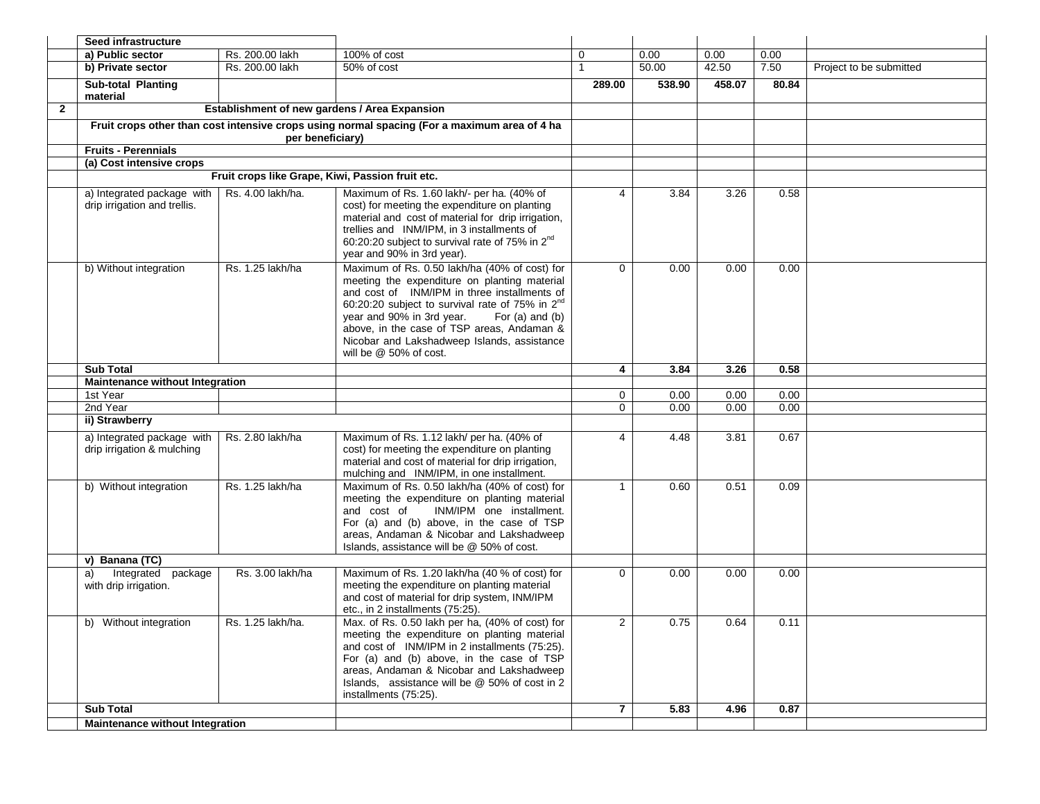|                | Seed infrastructure                                        |                                                  |                                                                                                                                                                                                                                                                                                                                                                                     |                |        |        |       |                         |
|----------------|------------------------------------------------------------|--------------------------------------------------|-------------------------------------------------------------------------------------------------------------------------------------------------------------------------------------------------------------------------------------------------------------------------------------------------------------------------------------------------------------------------------------|----------------|--------|--------|-------|-------------------------|
|                | a) Public sector                                           | Rs. 200.00 lakh                                  | 100% of cost                                                                                                                                                                                                                                                                                                                                                                        | 0              | 0.00   | 0.00   | 0.00  |                         |
|                | b) Private sector                                          | Rs. 200.00 lakh                                  | 50% of cost                                                                                                                                                                                                                                                                                                                                                                         | $\overline{1}$ | 50.00  | 42.50  | 7.50  | Project to be submitted |
|                | Sub-total Planting<br>material                             |                                                  |                                                                                                                                                                                                                                                                                                                                                                                     | 289.00         | 538.90 | 458.07 | 80.84 |                         |
| $\overline{2}$ |                                                            | Establishment of new gardens / Area Expansion    |                                                                                                                                                                                                                                                                                                                                                                                     |                |        |        |       |                         |
|                |                                                            | per beneficiary)                                 | Fruit crops other than cost intensive crops using normal spacing (For a maximum area of 4 ha                                                                                                                                                                                                                                                                                        |                |        |        |       |                         |
|                | <b>Fruits - Perennials</b>                                 |                                                  |                                                                                                                                                                                                                                                                                                                                                                                     |                |        |        |       |                         |
|                | (a) Cost intensive crops                                   |                                                  |                                                                                                                                                                                                                                                                                                                                                                                     |                |        |        |       |                         |
|                |                                                            | Fruit crops like Grape, Kiwi, Passion fruit etc. |                                                                                                                                                                                                                                                                                                                                                                                     |                |        |        |       |                         |
|                | a) Integrated package with<br>drip irrigation and trellis. | Rs. 4.00 lakh/ha.                                | Maximum of Rs. 1.60 lakh/- per ha. (40% of<br>cost) for meeting the expenditure on planting<br>material and cost of material for drip irrigation,<br>trellies and INM/IPM, in 3 installments of<br>60:20:20 subject to survival rate of 75% in 2 <sup>nd</sup><br>year and 90% in 3rd year).                                                                                        | 4              | 3.84   | 3.26   | 0.58  |                         |
|                | b) Without integration                                     | Rs. 1.25 lakh/ha                                 | Maximum of Rs. 0.50 lakh/ha (40% of cost) for<br>meeting the expenditure on planting material<br>and cost of INM/IPM in three installments of<br>60:20:20 subject to survival rate of 75% in 2 <sup>nd</sup><br>year and 90% in 3rd year.<br>For (a) and (b)<br>above, in the case of TSP areas, Andaman &<br>Nicobar and Lakshadweep Islands, assistance<br>will be @ 50% of cost. | $\Omega$       | 0.00   | 0.00   | 0.00  |                         |
|                | <b>Sub Total</b>                                           |                                                  |                                                                                                                                                                                                                                                                                                                                                                                     | 4              | 3.84   | 3.26   | 0.58  |                         |
|                | <b>Maintenance without Integration</b>                     |                                                  |                                                                                                                                                                                                                                                                                                                                                                                     |                |        |        |       |                         |
|                | 1st Year                                                   |                                                  |                                                                                                                                                                                                                                                                                                                                                                                     | $\mathbf 0$    | 0.00   | 0.00   | 0.00  |                         |
|                | 2nd Year                                                   |                                                  |                                                                                                                                                                                                                                                                                                                                                                                     | $\Omega$       | 0.00   | 0.00   | 0.00  |                         |
|                | ii) Strawberry                                             |                                                  |                                                                                                                                                                                                                                                                                                                                                                                     |                |        |        |       |                         |
|                | a) Integrated package with<br>drip irrigation & mulching   | Rs. 2.80 lakh/ha                                 | Maximum of Rs. 1.12 lakh/ per ha. (40% of<br>cost) for meeting the expenditure on planting<br>material and cost of material for drip irrigation,<br>mulching and INM/IPM, in one installment.                                                                                                                                                                                       | 4              | 4.48   | 3.81   | 0.67  |                         |
|                | b) Without integration                                     | Rs. 1.25 lakh/ha                                 | Maximum of Rs. 0.50 lakh/ha (40% of cost) for<br>meeting the expenditure on planting material<br>INM/IPM one installment.<br>and cost of<br>For (a) and (b) above, in the case of TSP<br>areas, Andaman & Nicobar and Lakshadweep<br>Islands, assistance will be @ 50% of cost.                                                                                                     | $\mathbf{1}$   | 0.60   | 0.51   | 0.09  |                         |
|                | v) Banana (TC)                                             |                                                  |                                                                                                                                                                                                                                                                                                                                                                                     |                |        |        |       |                         |
|                | Integrated package<br>a)<br>with drip irrigation.          | Rs. 3.00 lakh/ha                                 | Maximum of Rs. 1.20 lakh/ha (40 % of cost) for<br>meeting the expenditure on planting material<br>and cost of material for drip system, INM/IPM<br>etc., in 2 installments (75:25).                                                                                                                                                                                                 | $\Omega$       | 0.00   | 0.00   | 0.00  |                         |
|                | b) Without integration                                     | Rs. 1.25 lakh/ha.                                | Max. of Rs. 0.50 lakh per ha, (40% of cost) for<br>meeting the expenditure on planting material<br>and cost of INM/IPM in 2 installments (75:25).<br>For (a) and (b) above, in the case of TSP<br>areas, Andaman & Nicobar and Lakshadweep<br>Islands, assistance will be @ 50% of cost in 2<br>installments (75:25).                                                               | $\mathcal{P}$  | 0.75   | 0.64   | 0.11  |                         |
|                | <b>Sub Total</b>                                           |                                                  |                                                                                                                                                                                                                                                                                                                                                                                     | $\overline{7}$ | 5.83   | 4.96   | 0.87  |                         |
|                | <b>Maintenance without Integration</b>                     |                                                  |                                                                                                                                                                                                                                                                                                                                                                                     |                |        |        |       |                         |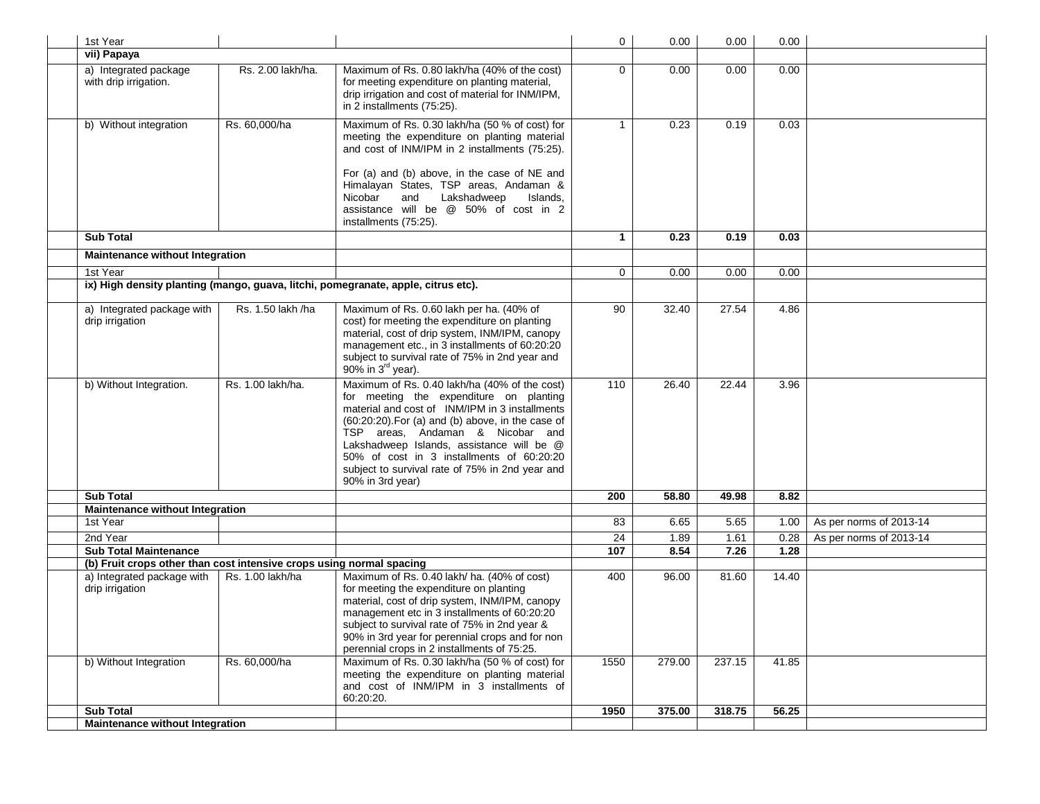| 1st Year                                                                                             |                   |                                                                                                                                                                                                                                                                                                                                                                                                             | $\overline{0}$  | 0.00   | 0.00   | 0.00  |                         |
|------------------------------------------------------------------------------------------------------|-------------------|-------------------------------------------------------------------------------------------------------------------------------------------------------------------------------------------------------------------------------------------------------------------------------------------------------------------------------------------------------------------------------------------------------------|-----------------|--------|--------|-------|-------------------------|
| vii) Papaya                                                                                          |                   |                                                                                                                                                                                                                                                                                                                                                                                                             |                 |        |        |       |                         |
| a) Integrated package<br>with drip irrigation.                                                       | Rs. 2.00 lakh/ha. | Maximum of Rs. 0.80 lakh/ha (40% of the cost)<br>for meeting expenditure on planting material,<br>drip irrigation and cost of material for INM/IPM,<br>in 2 installments (75:25).                                                                                                                                                                                                                           | $\Omega$        | 0.00   | 0.00   | 0.00  |                         |
| b) Without integration                                                                               | Rs. 60,000/ha     | Maximum of Rs. 0.30 lakh/ha (50 % of cost) for<br>meeting the expenditure on planting material<br>and cost of INM/IPM in 2 installments (75:25).<br>For (a) and (b) above, in the case of NE and<br>Himalayan States, TSP areas, Andaman &<br>Lakshadweep<br>Islands,<br>Nicobar<br>and<br>assistance will be @ 50% of cost in 2<br>installments (75:25).                                                   | $\mathbf{1}$    | 0.23   | 0.19   | 0.03  |                         |
| <b>Sub Total</b>                                                                                     |                   |                                                                                                                                                                                                                                                                                                                                                                                                             | $\mathbf 1$     | 0.23   | 0.19   | 0.03  |                         |
| Maintenance without Integration                                                                      |                   |                                                                                                                                                                                                                                                                                                                                                                                                             |                 |        |        |       |                         |
| 1st Year                                                                                             |                   |                                                                                                                                                                                                                                                                                                                                                                                                             | $\mathbf 0$     | 0.00   | 0.00   | 0.00  |                         |
|                                                                                                      |                   | ix) High density planting (mango, guava, litchi, pomegranate, apple, citrus etc).                                                                                                                                                                                                                                                                                                                           |                 |        |        |       |                         |
| a) Integrated package with<br>drip irrigation                                                        | Rs. 1.50 lakh /ha | Maximum of Rs. 0.60 lakh per ha. (40% of<br>cost) for meeting the expenditure on planting<br>material, cost of drip system, INM/IPM, canopy<br>management etc., in 3 installments of 60:20:20<br>subject to survival rate of 75% in 2nd year and<br>90% in 3 <sup>rd</sup> year).                                                                                                                           | $\overline{90}$ | 32.40  | 27.54  | 4.86  |                         |
| b) Without Integration.                                                                              | Rs. 1.00 lakh/ha. | Maximum of Rs. 0.40 lakh/ha (40% of the cost)<br>for meeting the expenditure on planting<br>material and cost of INM/IPM in 3 installments<br>$(60:20:20)$ . For $(a)$ and $(b)$ above, in the case of<br>TSP areas, Andaman & Nicobar and<br>Lakshadweep Islands, assistance will be @<br>50% of cost in 3 installments of 60:20:20<br>subject to survival rate of 75% in 2nd year and<br>90% in 3rd year) | 110             | 26.40  | 22.44  | 3.96  |                         |
| <b>Sub Total</b>                                                                                     |                   |                                                                                                                                                                                                                                                                                                                                                                                                             | 200             | 58.80  | 49.98  | 8.82  |                         |
| Maintenance without Integration                                                                      |                   |                                                                                                                                                                                                                                                                                                                                                                                                             |                 |        |        |       |                         |
| 1st Year                                                                                             |                   |                                                                                                                                                                                                                                                                                                                                                                                                             | 83              | 6.65   | 5.65   | 1.00  | As per norms of 2013-14 |
| 2nd Year                                                                                             |                   |                                                                                                                                                                                                                                                                                                                                                                                                             | $\overline{24}$ | 1.89   | 1.61   | 0.28  | As per norms of 2013-14 |
| <b>Sub Total Maintenance</b><br>(b) Fruit crops other than cost intensive crops using normal spacing |                   |                                                                                                                                                                                                                                                                                                                                                                                                             | 107             | 8.54   | 7.26   | 1.28  |                         |
| a) Integrated package with<br>drip irrigation                                                        | Rs. 1.00 lakh/ha  | Maximum of Rs. 0.40 lakh/ ha. (40% of cost)<br>for meeting the expenditure on planting<br>material, cost of drip system, INM/IPM, canopy<br>management etc in 3 installments of 60:20:20<br>subject to survival rate of 75% in 2nd year &<br>90% in 3rd year for perennial crops and for non<br>perennial crops in 2 installments of 75:25.                                                                 | 400             | 96.00  | 81.60  | 14.40 |                         |
| b) Without Integration                                                                               | Rs. 60,000/ha     | Maximum of Rs. 0.30 lakh/ha (50 % of cost) for<br>meeting the expenditure on planting material<br>and cost of INM/IPM in 3 installments of<br>60:20:20.                                                                                                                                                                                                                                                     | 1550            | 279.00 | 237.15 | 41.85 |                         |
| <b>Sub Total</b>                                                                                     |                   |                                                                                                                                                                                                                                                                                                                                                                                                             | 1950            | 375.00 | 318.75 | 56.25 |                         |
| <b>Maintenance without Integration</b>                                                               |                   |                                                                                                                                                                                                                                                                                                                                                                                                             |                 |        |        |       |                         |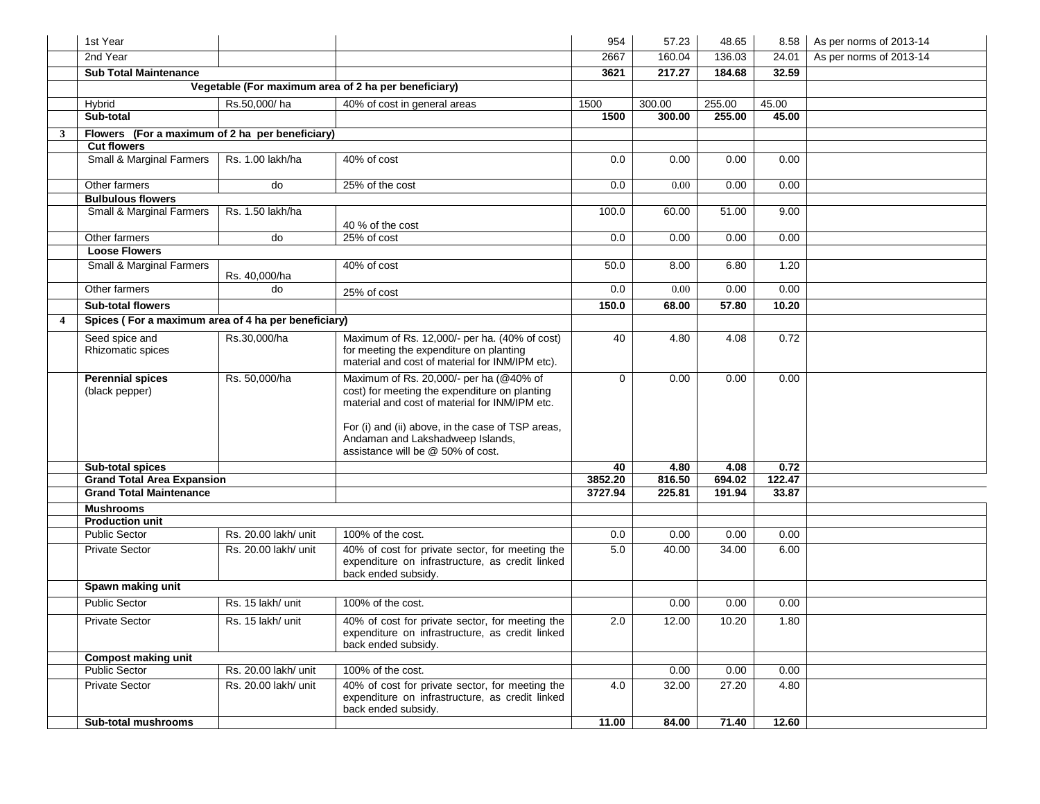|                | 1st Year                                              |                      |                                                                                                                                                                                                                                     | 954           | 57.23          | 48.65          | 8.58           | As per norms of 2013-14 |
|----------------|-------------------------------------------------------|----------------------|-------------------------------------------------------------------------------------------------------------------------------------------------------------------------------------------------------------------------------------|---------------|----------------|----------------|----------------|-------------------------|
|                | 2nd Year                                              |                      |                                                                                                                                                                                                                                     | 2667          | 160.04         | 136.03         | 24.01          | As per norms of 2013-14 |
|                | <b>Sub Total Maintenance</b>                          |                      |                                                                                                                                                                                                                                     | 3621          | 217.27         | 184.68         | 32.59          |                         |
|                |                                                       |                      | Vegetable (For maximum area of 2 ha per beneficiary)                                                                                                                                                                                |               |                |                |                |                         |
|                | Hybrid                                                | Rs.50.000/ha         | 40% of cost in general areas                                                                                                                                                                                                        | 1500          | 300.00         | 255.00         | 45.00          |                         |
|                | Sub-total                                             |                      |                                                                                                                                                                                                                                     | 1500          | 300.00         | 255.00         | 45.00          |                         |
| $\mathbf{3}$   | Flowers (For a maximum of 2 ha per beneficiary)       |                      |                                                                                                                                                                                                                                     |               |                |                |                |                         |
|                | <b>Cut flowers</b>                                    |                      |                                                                                                                                                                                                                                     |               |                |                |                |                         |
|                | <b>Small &amp; Marginal Farmers</b>                   | Rs. 1.00 lakh/ha     | 40% of cost                                                                                                                                                                                                                         | 0.0           | 0.00           | 0.00           | 0.00           |                         |
|                | Other farmers                                         | do                   | 25% of the cost                                                                                                                                                                                                                     | 0.0           | 0.00           | 0.00           | 0.00           |                         |
|                | <b>Bulbulous flowers</b>                              |                      |                                                                                                                                                                                                                                     |               |                |                |                |                         |
|                | Small & Marginal Farmers                              | Rs. 1.50 lakh/ha     | 40 % of the cost                                                                                                                                                                                                                    | 100.0         | 60.00          | 51.00          | 9.00           |                         |
|                | Other farmers                                         | do                   | 25% of cost                                                                                                                                                                                                                         | 0.0           | 0.00           | 0.00           | 0.00           |                         |
|                | <b>Loose Flowers</b>                                  |                      |                                                                                                                                                                                                                                     |               |                |                |                |                         |
|                | Small & Marginal Farmers                              | Rs. 40,000/ha        | 40% of cost                                                                                                                                                                                                                         | 50.0          | 8.00           | 6.80           | 1.20           |                         |
|                | Other farmers                                         | do                   | 25% of cost                                                                                                                                                                                                                         | 0.0           | 0.00           | 0.00           | 0.00           |                         |
|                | <b>Sub-total flowers</b>                              |                      |                                                                                                                                                                                                                                     | 150.0         | 68.00          | 57.80          | 10.20          |                         |
| $\overline{4}$ | Spices (For a maximum area of 4 ha per beneficiary)   |                      |                                                                                                                                                                                                                                     |               |                |                |                |                         |
|                | Seed spice and<br>Rhizomatic spices                   | Rs.30,000/ha         | Maximum of Rs. 12,000/- per ha. (40% of cost)<br>for meeting the expenditure on planting<br>material and cost of material for INM/IPM etc).                                                                                         | 40            | 4.80           | 4.08           | 0.72           |                         |
|                | <b>Perennial spices</b><br>(black pepper)             | Rs. 50.000/ha        | Maximum of Rs. 20,000/- per ha (@40% of<br>cost) for meeting the expenditure on planting<br>material and cost of material for INM/IPM etc.<br>For (i) and (ii) above, in the case of TSP areas,<br>Andaman and Lakshadweep Islands, | $\Omega$      | 0.00           | 0.00           | 0.00           |                         |
|                |                                                       |                      | assistance will be @ 50% of cost.                                                                                                                                                                                                   |               |                |                |                |                         |
|                | Sub-total spices<br><b>Grand Total Area Expansion</b> |                      |                                                                                                                                                                                                                                     | 40<br>3852.20 | 4.80<br>816.50 | 4.08<br>694.02 | 0.72<br>122.47 |                         |
|                | <b>Grand Total Maintenance</b>                        |                      |                                                                                                                                                                                                                                     | 3727.94       | 225.81         | 191.94         | 33.87          |                         |
|                | <b>Mushrooms</b>                                      |                      |                                                                                                                                                                                                                                     |               |                |                |                |                         |
|                | <b>Production unit</b>                                |                      |                                                                                                                                                                                                                                     |               |                |                |                |                         |
|                | <b>Public Sector</b>                                  | Rs. 20.00 lakh/ unit | 100% of the cost.                                                                                                                                                                                                                   | 0.0           | 0.00           | 0.00           | 0.00           |                         |
|                | <b>Private Sector</b>                                 | Rs. 20.00 lakh/ unit | 40% of cost for private sector, for meeting the<br>expenditure on infrastructure, as credit linked<br>back ended subsidy.                                                                                                           | 5.0           | 40.00          | 34.00          | 6.00           |                         |
|                | Spawn making unit                                     |                      |                                                                                                                                                                                                                                     |               |                |                |                |                         |
|                | <b>Public Sector</b>                                  | Rs. 15 lakh/ unit    | 100% of the cost.                                                                                                                                                                                                                   |               | 0.00           | 0.00           | 0.00           |                         |
|                | <b>Private Sector</b>                                 | Rs. 15 lakh/ unit    | 40% of cost for private sector, for meeting the<br>expenditure on infrastructure, as credit linked<br>back ended subsidy.                                                                                                           | 2.0           | 12.00          | 10.20          | 1.80           |                         |
|                | <b>Compost making unit</b>                            |                      |                                                                                                                                                                                                                                     |               |                |                |                |                         |
|                | <b>Public Sector</b>                                  | Rs. 20.00 lakh/ unit | 100% of the cost.                                                                                                                                                                                                                   |               | 0.00           | 0.00           | 0.00           |                         |
|                | Private Sector                                        | Rs. 20.00 lakh/ unit | 40% of cost for private sector, for meeting the<br>expenditure on infrastructure, as credit linked<br>back ended subsidy.                                                                                                           | 4.0           | 32.00          | 27.20          | 4.80           |                         |
|                | <b>Sub-total mushrooms</b>                            |                      |                                                                                                                                                                                                                                     | 11.00         | 84.00          | 71.40          | 12.60          |                         |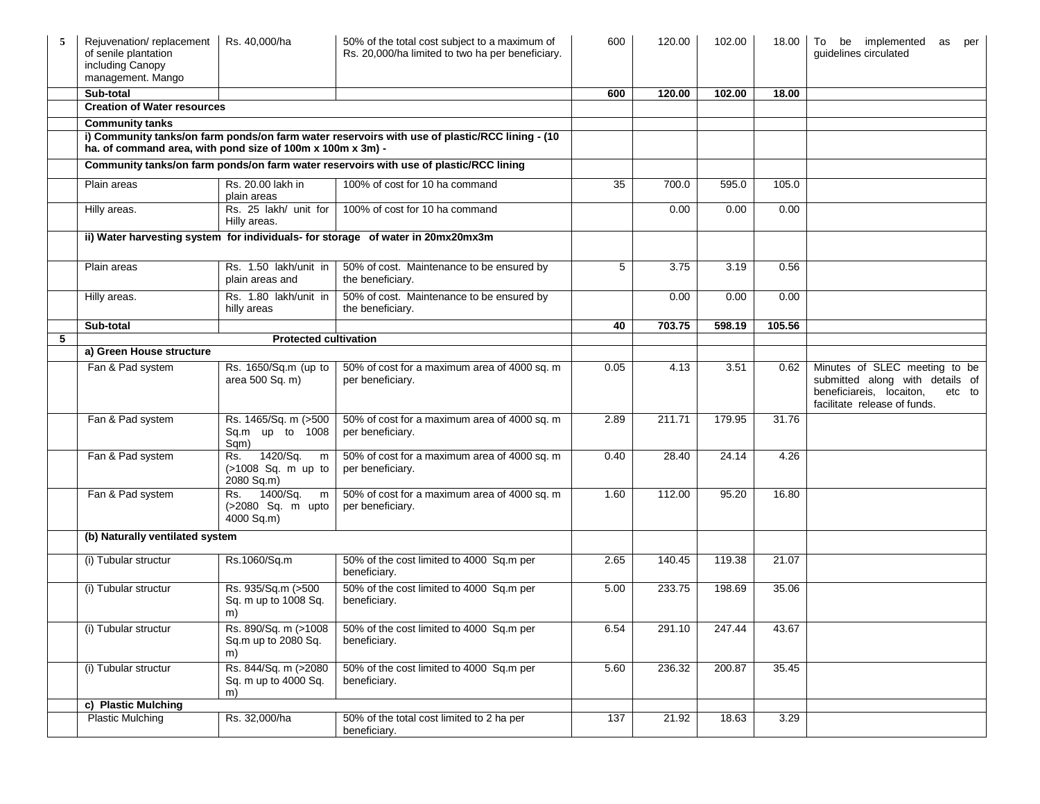| 5 | Rejuvenation/replacement<br>of senile plantation<br>including Canopy<br>management. Mango | Rs. 40,000/ha                                            | 50% of the total cost subject to a maximum of<br>Rs. 20,000/ha limited to two ha per beneficiary. | 600  | 120.00 | 102.00 | 18.00  | To be implemented<br>as<br>per<br>quidelines circulated                                                                                |
|---|-------------------------------------------------------------------------------------------|----------------------------------------------------------|---------------------------------------------------------------------------------------------------|------|--------|--------|--------|----------------------------------------------------------------------------------------------------------------------------------------|
|   | Sub-total                                                                                 |                                                          |                                                                                                   | 600  | 120.00 | 102.00 | 18.00  |                                                                                                                                        |
|   | <b>Creation of Water resources</b>                                                        |                                                          |                                                                                                   |      |        |        |        |                                                                                                                                        |
|   | <b>Community tanks</b>                                                                    |                                                          |                                                                                                   |      |        |        |        |                                                                                                                                        |
|   | ha. of command area, with pond size of 100m x 100m x 3m) -                                |                                                          | i) Community tanks/on farm ponds/on farm water reservoirs with use of plastic/RCC lining - (10    |      |        |        |        |                                                                                                                                        |
|   |                                                                                           |                                                          | Community tanks/on farm ponds/on farm water reservoirs with use of plastic/RCC lining             |      |        |        |        |                                                                                                                                        |
|   | Plain areas                                                                               | Rs. 20.00 lakh in<br>plain areas                         | 100% of cost for 10 ha command                                                                    | 35   | 700.0  | 595.0  | 105.0  |                                                                                                                                        |
|   | Hilly areas.                                                                              | Rs. 25 lakh/ unit for<br>Hilly areas.                    | 100% of cost for 10 ha command                                                                    |      | 0.00   | 0.00   | 0.00   |                                                                                                                                        |
|   | ii) Water harvesting system for individuals- for storage of water in 20mx20mx3m           |                                                          |                                                                                                   |      |        |        |        |                                                                                                                                        |
|   | Plain areas                                                                               | Rs. 1.50 lakh/unit in<br>plain areas and                 | 50% of cost. Maintenance to be ensured by<br>the beneficiary.                                     | 5    | 3.75   | 3.19   | 0.56   |                                                                                                                                        |
|   | Hilly areas.                                                                              | Rs. 1.80 lakh/unit in<br>hilly areas                     | 50% of cost. Maintenance to be ensured by<br>the beneficiary.                                     |      | 0.00   | 0.00   | 0.00   |                                                                                                                                        |
|   | Sub-total                                                                                 |                                                          |                                                                                                   | 40   | 703.75 | 598.19 | 105.56 |                                                                                                                                        |
| 5 |                                                                                           | <b>Protected cultivation</b>                             |                                                                                                   |      |        |        |        |                                                                                                                                        |
|   | a) Green House structure                                                                  |                                                          |                                                                                                   |      |        |        |        |                                                                                                                                        |
|   | Fan & Pad system                                                                          | Rs. 1650/Sq.m (up to<br>area 500 Sq. m)                  | 50% of cost for a maximum area of 4000 sq. m<br>per beneficiary.                                  | 0.05 | 4.13   | 3.51   | 0.62   | Minutes of SLEC meeting to be<br>submitted along with details of<br>beneficiareis, locaiton,<br>etc to<br>facilitate release of funds. |
|   | Fan & Pad system                                                                          | Rs. 1465/Sq. m (>500<br>Sq.m up to 1008<br>Sqm)          | 50% of cost for a maximum area of 4000 sq. m<br>per beneficiary.                                  | 2.89 | 211.71 | 179.95 | 31.76  |                                                                                                                                        |
|   | Fan & Pad system                                                                          | 1420/Sq.<br>Rs.<br>m<br>(>1008 Sq. m up to<br>2080 Sq.m) | 50% of cost for a maximum area of 4000 sq. m<br>per beneficiary.                                  | 0.40 | 28.40  | 24.14  | 4.26   |                                                                                                                                        |
|   | Fan & Pad system                                                                          | 1400/Sq.<br>Rs.<br>m<br>(>2080 Sq. m upto<br>4000 Sq.m)  | 50% of cost for a maximum area of 4000 sq. m<br>per beneficiary.                                  | 1.60 | 112.00 | 95.20  | 16.80  |                                                                                                                                        |
|   | (b) Naturally ventilated system                                                           |                                                          |                                                                                                   |      |        |        |        |                                                                                                                                        |
|   | (i) Tubular structur                                                                      | Rs.1060/Sq.m                                             | 50% of the cost limited to 4000 Sq.m per<br>beneficiary.                                          | 2.65 | 140.45 | 119.38 | 21.07  |                                                                                                                                        |
|   | (i) Tubular structur                                                                      | Rs. 935/Sq.m (>500<br>Sq. m up to 1008 Sq.<br>m)         | 50% of the cost limited to 4000 Sq.m per<br>beneficiary.                                          | 5.00 | 233.75 | 198.69 | 35.06  |                                                                                                                                        |
|   | (i) Tubular structur                                                                      | Rs. 890/Sq. m (>1008<br>Sq.m up to 2080 Sq.<br>m)        | 50% of the cost limited to 4000 Sq.m per<br>beneficiary.                                          | 6.54 | 291.10 | 247.44 | 43.67  |                                                                                                                                        |
|   | (i) Tubular structur                                                                      | Rs. 844/Sq. m (>2080<br>Sq. m up to 4000 Sq.<br>m)       | 50% of the cost limited to 4000 Sq.m per<br>beneficiary.                                          | 5.60 | 236.32 | 200.87 | 35.45  |                                                                                                                                        |
|   | c) Plastic Mulching                                                                       |                                                          |                                                                                                   |      |        |        |        |                                                                                                                                        |
|   | <b>Plastic Mulching</b>                                                                   | Rs. 32,000/ha                                            | 50% of the total cost limited to 2 ha per<br>beneficiary.                                         | 137  | 21.92  | 18.63  | 3.29   |                                                                                                                                        |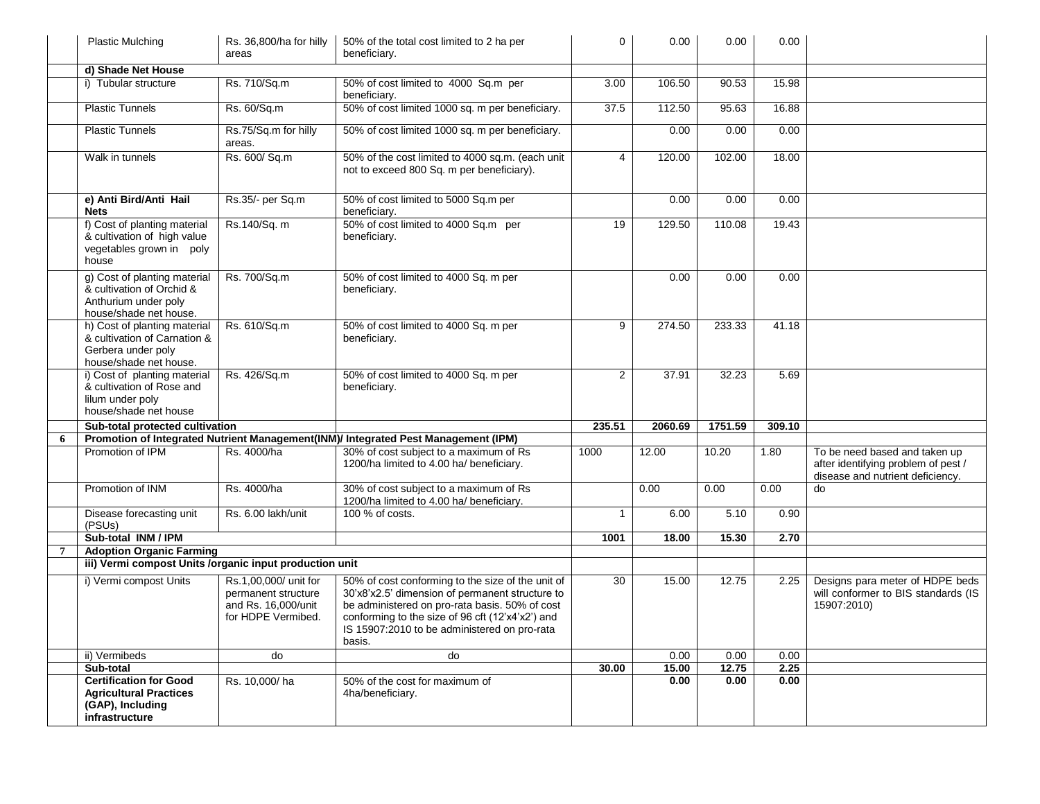|                | <b>Plastic Mulching</b>                                                                                      | Rs. 36,800/ha for hilly<br>areas                                                          | 50% of the total cost limited to 2 ha per<br>beneficiary.                                                                                                                                                                                                            | $\overline{0}$  | 0.00    | 0.00    | 0.00   |                                                                                                          |
|----------------|--------------------------------------------------------------------------------------------------------------|-------------------------------------------------------------------------------------------|----------------------------------------------------------------------------------------------------------------------------------------------------------------------------------------------------------------------------------------------------------------------|-----------------|---------|---------|--------|----------------------------------------------------------------------------------------------------------|
|                | d) Shade Net House                                                                                           |                                                                                           |                                                                                                                                                                                                                                                                      |                 |         |         |        |                                                                                                          |
|                | i) Tubular structure                                                                                         | Rs. 710/Sq.m                                                                              | 50% of cost limited to 4000 Sq.m per<br>beneficiary.                                                                                                                                                                                                                 | 3.00            | 106.50  | 90.53   | 15.98  |                                                                                                          |
|                | <b>Plastic Tunnels</b>                                                                                       | Rs. 60/Sq.m                                                                               | 50% of cost limited 1000 sq. m per beneficiary.                                                                                                                                                                                                                      | 37.5            | 112.50  | 95.63   | 16.88  |                                                                                                          |
|                | <b>Plastic Tunnels</b>                                                                                       | Rs.75/Sq.m for hilly<br>areas.                                                            | 50% of cost limited 1000 sq. m per beneficiary.                                                                                                                                                                                                                      |                 | 0.00    | 0.00    | 0.00   |                                                                                                          |
|                | Walk in tunnels                                                                                              | Rs. 600/ Sq.m                                                                             | 50% of the cost limited to 4000 sq.m. (each unit<br>not to exceed 800 Sq. m per beneficiary).                                                                                                                                                                        | 4               | 120.00  | 102.00  | 18.00  |                                                                                                          |
|                | e) Anti Bird/Anti Hail<br><b>Nets</b>                                                                        | Rs.35/- per Sq.m                                                                          | 50% of cost limited to 5000 Sq.m per<br>beneficiary.                                                                                                                                                                                                                 |                 | 0.00    | 0.00    | 0.00   |                                                                                                          |
|                | f) Cost of planting material<br>& cultivation of high value<br>vegetables grown in poly<br>house             | Rs.140/Sq. m                                                                              | 50% of cost limited to 4000 Sq.m per<br>beneficiary.                                                                                                                                                                                                                 | 19              | 129.50  | 110.08  | 19.43  |                                                                                                          |
|                | g) Cost of planting material<br>& cultivation of Orchid &<br>Anthurium under poly<br>house/shade net house.  | Rs. 700/Sq.m                                                                              | 50% of cost limited to 4000 Sq. m per<br>beneficiary.                                                                                                                                                                                                                |                 | 0.00    | 0.00    | 0.00   |                                                                                                          |
|                | h) Cost of planting material<br>& cultivation of Carnation &<br>Gerbera under poly<br>house/shade net house. | Rs. 610/Sq.m                                                                              | 50% of cost limited to 4000 Sq. m per<br>beneficiary.                                                                                                                                                                                                                | 9               | 274.50  | 233.33  | 41.18  |                                                                                                          |
|                | i) Cost of planting material<br>& cultivation of Rose and<br>lilum under poly<br>house/shade net house       | Rs. 426/Sq.m                                                                              | 50% of cost limited to 4000 Sq. m per<br>beneficiary.                                                                                                                                                                                                                | $\overline{2}$  | 37.91   | 32.23   | 5.69   |                                                                                                          |
|                | Sub-total protected cultivation                                                                              |                                                                                           |                                                                                                                                                                                                                                                                      | 235.51          | 2060.69 | 1751.59 | 309.10 |                                                                                                          |
| 6              |                                                                                                              |                                                                                           | Promotion of Integrated Nutrient Management(INM)/ Integrated Pest Management (IPM)                                                                                                                                                                                   |                 |         |         |        |                                                                                                          |
|                | Promotion of IPM                                                                                             | Rs. 4000/ha                                                                               | 30% of cost subject to a maximum of Rs<br>1200/ha limited to 4.00 ha/ beneficiary.                                                                                                                                                                                   | 1000            | 12.00   | 10.20   | 1.80   | To be need based and taken up<br>after identifying problem of pest /<br>disease and nutrient deficiency. |
|                | Promotion of INM                                                                                             | Rs. 4000/ha                                                                               | 30% of cost subject to a maximum of Rs<br>1200/ha limited to 4.00 ha/ beneficiary.                                                                                                                                                                                   |                 | 0.00    | 0.00    | 0.00   | do                                                                                                       |
|                | Disease forecasting unit<br>(PSUs)                                                                           | Rs. 6.00 lakh/unit                                                                        | 100 % of costs.                                                                                                                                                                                                                                                      | 1               | 6.00    | 5.10    | 0.90   |                                                                                                          |
|                | Sub-total INM / IPM                                                                                          |                                                                                           |                                                                                                                                                                                                                                                                      | 1001            | 18.00   | 15.30   | 2.70   |                                                                                                          |
| $\overline{7}$ | <b>Adoption Organic Farming</b>                                                                              |                                                                                           |                                                                                                                                                                                                                                                                      |                 |         |         |        |                                                                                                          |
|                | iii) Vermi compost Units /organic input production unit                                                      |                                                                                           |                                                                                                                                                                                                                                                                      |                 |         |         |        |                                                                                                          |
|                | i) Vermi compost Units                                                                                       | Rs.1,00,000/ unit for<br>permanent structure<br>and Rs. 16,000/unit<br>for HDPE Vermibed. | 50% of cost conforming to the size of the unit of<br>30'x8'x2.5' dimension of permanent structure to<br>be administered on pro-rata basis. 50% of cost<br>conforming to the size of 96 cft (12'x4'x2') and<br>IS 15907:2010 to be administered on pro-rata<br>basis. | $\overline{30}$ | 15.00   | 12.75   | 2.25   | Designs para meter of HDPE beds<br>will conformer to BIS standards (IS<br>15907:2010)                    |
|                | ii) Vermibeds                                                                                                | do                                                                                        | do                                                                                                                                                                                                                                                                   |                 | 0.00    | 0.00    | 0.00   |                                                                                                          |
|                | Sub-total                                                                                                    |                                                                                           |                                                                                                                                                                                                                                                                      | 30.00           | 15.00   | 12.75   | 2.25   |                                                                                                          |
|                | <b>Certification for Good</b><br><b>Agricultural Practices</b><br>(GAP), Including<br>infrastructure         | Rs. 10,000/ha                                                                             | 50% of the cost for maximum of<br>4ha/beneficiary.                                                                                                                                                                                                                   |                 | 0.00    | 0.00    | 0.00   |                                                                                                          |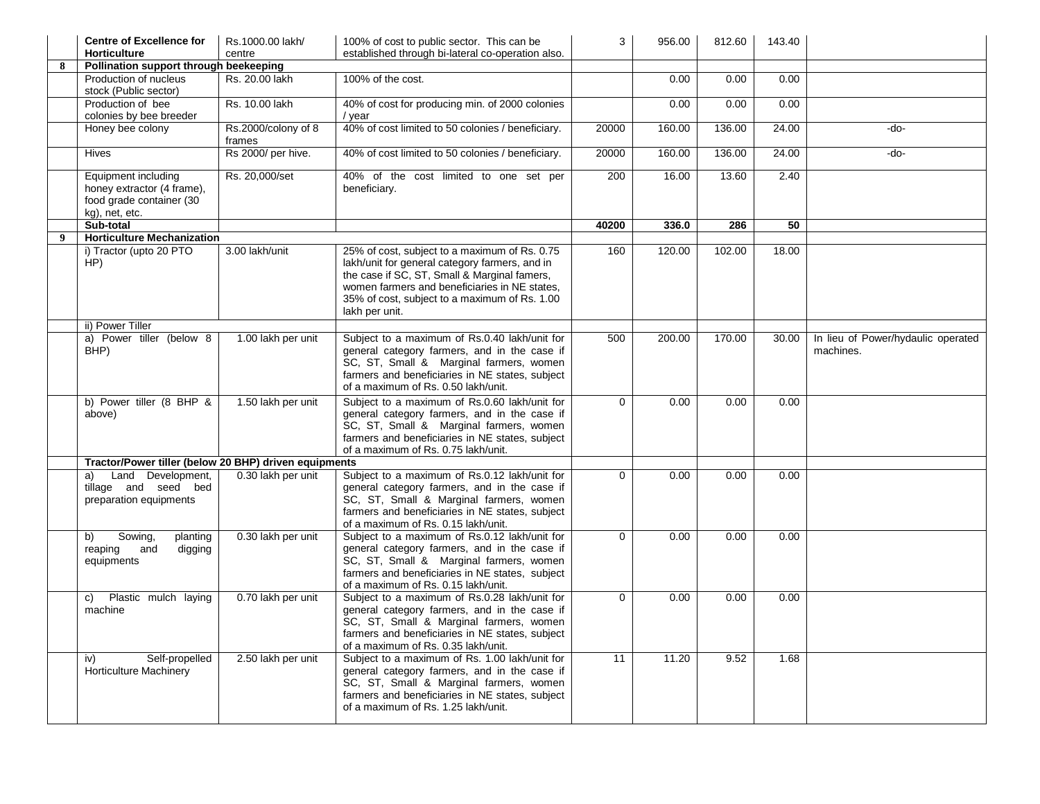|   | <b>Centre of Excellence for</b><br><b>Horticulture</b>                                          | Rs.1000.00 lakh/<br>centre    | 100% of cost to public sector. This can be<br>established through bi-lateral co-operation also.                                                                                                                                                                     | 3        | 956.00 | 812.60 | 143.40 |                                                 |
|---|-------------------------------------------------------------------------------------------------|-------------------------------|---------------------------------------------------------------------------------------------------------------------------------------------------------------------------------------------------------------------------------------------------------------------|----------|--------|--------|--------|-------------------------------------------------|
| 8 | Pollination support through beekeeping                                                          |                               |                                                                                                                                                                                                                                                                     |          |        |        |        |                                                 |
|   | Production of nucleus<br>stock (Public sector)                                                  | Rs. 20.00 lakh                | 100% of the cost.                                                                                                                                                                                                                                                   |          | 0.00   | 0.00   | 0.00   |                                                 |
|   | Production of bee<br>colonies by bee breeder                                                    | Rs. 10.00 lakh                | 40% of cost for producing min. of 2000 colonies<br>/ year                                                                                                                                                                                                           |          | 0.00   | 0.00   | 0.00   |                                                 |
|   | Honey bee colony                                                                                | Rs.2000/colony of 8<br>frames | 40% of cost limited to 50 colonies / beneficiary.                                                                                                                                                                                                                   | 20000    | 160.00 | 136.00 | 24.00  | -do-                                            |
|   | <b>Hives</b>                                                                                    | Rs 2000/ per hive.            | 40% of cost limited to 50 colonies / beneficiary.                                                                                                                                                                                                                   | 20000    | 160.00 | 136.00 | 24.00  | -do-                                            |
|   | Equipment including<br>honey extractor (4 frame),<br>food grade container (30<br>kg), net, etc. | Rs. 20,000/set                | 40% of the cost limited to one set per<br>beneficiary.                                                                                                                                                                                                              | 200      | 16.00  | 13.60  | 2.40   |                                                 |
|   | Sub-total                                                                                       |                               |                                                                                                                                                                                                                                                                     | 40200    | 336.0  | 286    | 50     |                                                 |
| 9 | <b>Horticulture Mechanization</b>                                                               |                               |                                                                                                                                                                                                                                                                     |          |        |        |        |                                                 |
|   | i) Tractor (upto 20 PTO<br>HP)                                                                  | 3.00 lakh/unit                | 25% of cost, subject to a maximum of Rs. 0.75<br>lakh/unit for general category farmers, and in<br>the case if SC, ST, Small & Marginal famers,<br>women farmers and beneficiaries in NE states.<br>35% of cost, subject to a maximum of Rs. 1.00<br>lakh per unit. | 160      | 120.00 | 102.00 | 18.00  |                                                 |
|   | ii) Power Tiller                                                                                |                               |                                                                                                                                                                                                                                                                     |          |        |        |        |                                                 |
|   | a) Power tiller (below 8<br>BHP)                                                                | 1.00 lakh per unit            | Subject to a maximum of Rs.0.40 lakh/unit for<br>general category farmers, and in the case if<br>SC, ST, Small & Marginal farmers, women<br>farmers and beneficiaries in NE states, subject<br>of a maximum of Rs. 0.50 lakh/unit.                                  | 500      | 200.00 | 170.00 | 30.00  | In lieu of Power/hydaulic operated<br>machines. |
|   | b) Power tiller (8 BHP &<br>above)                                                              | 1.50 lakh per unit            | Subject to a maximum of Rs.0.60 lakh/unit for<br>general category farmers, and in the case if<br>SC, ST, Small & Marginal farmers, women<br>farmers and beneficiaries in NE states, subject<br>of a maximum of Rs. 0.75 lakh/unit.                                  | $\Omega$ | 0.00   | 0.00   | 0.00   |                                                 |
|   | Tractor/Power tiller (below 20 BHP) driven equipments                                           |                               |                                                                                                                                                                                                                                                                     |          |        |        |        |                                                 |
|   | Land Development,<br>a)<br>tillage and seed bed<br>preparation equipments                       | 0.30 lakh per unit            | Subject to a maximum of Rs.0.12 lakh/unit for<br>general category farmers, and in the case if<br>SC, ST, Small & Marginal farmers, women<br>farmers and beneficiaries in NE states, subject<br>of a maximum of Rs. 0.15 lakh/unit.                                  | $\Omega$ | 0.00   | 0.00   | 0.00   |                                                 |
|   | Sowing,<br>b)<br>planting<br>reaping<br>and<br>digging<br>equipments                            | 0.30 lakh per unit            | Subject to a maximum of Rs.0.12 lakh/unit for<br>general category farmers, and in the case if<br>SC, ST, Small & Marginal farmers, women<br>farmers and beneficiaries in NE states, subject<br>of a maximum of Rs. 0.15 lakh/unit.                                  | $\Omega$ | 0.00   | 0.00   | 0.00   |                                                 |
|   | Plastic mulch laying<br>C)<br>machine                                                           | 0.70 lakh per unit            | Subject to a maximum of Rs.0.28 lakh/unit for<br>general category farmers, and in the case if<br>SC, ST, Small & Marginal farmers, women<br>farmers and beneficiaries in NE states, subject<br>of a maximum of Rs. 0.35 lakh/unit.                                  | $\Omega$ | 0.00   | 0.00   | 0.00   |                                                 |
|   | Self-propelled<br>iv)<br><b>Horticulture Machinery</b>                                          | 2.50 lakh per unit            | Subject to a maximum of Rs. 1.00 lakh/unit for<br>general category farmers, and in the case if<br>SC, ST, Small & Marginal farmers, women<br>farmers and beneficiaries in NE states, subject<br>of a maximum of Rs. 1.25 lakh/unit.                                 | 11       | 11.20  | 9.52   | 1.68   |                                                 |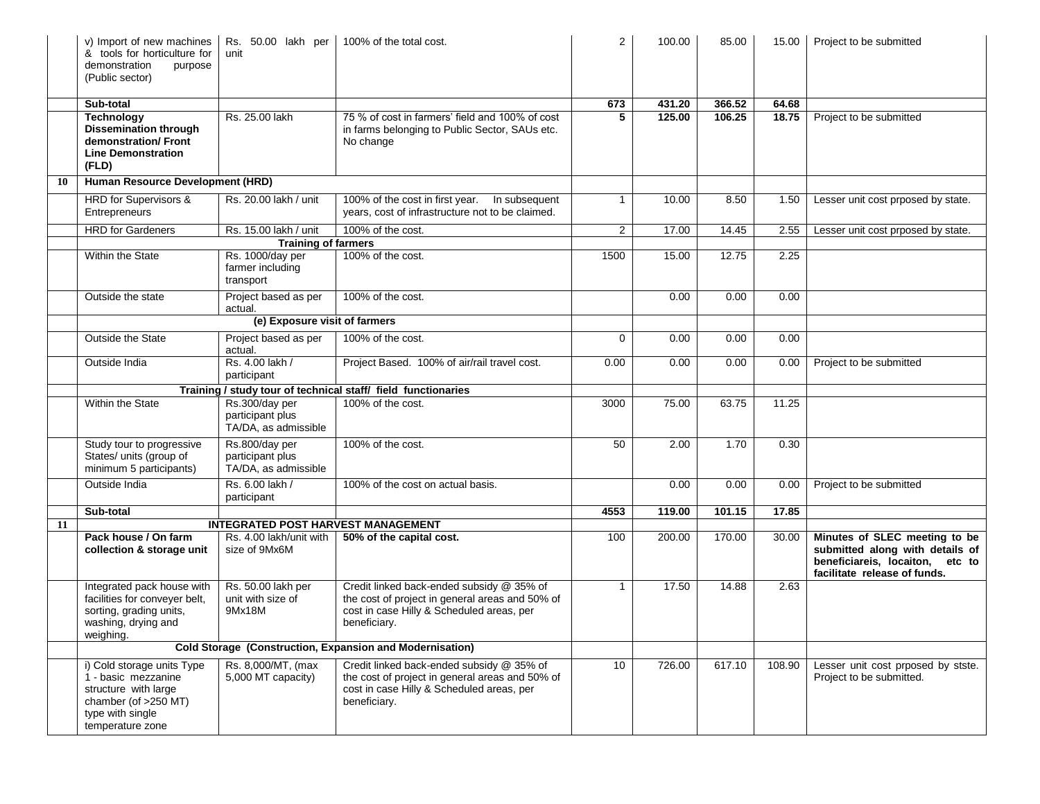|    | v) Import of new machines<br>& tools for horticulture for<br>demonstration<br>purpose<br>(Public sector)                                  | Rs. 50.00 lakh per<br>unit                                 | 100% of the total cost.                                                                                                                                   | $\overline{2}$  | 100.00 | 85.00  | 15.00  | Project to be submitted                                                                                                             |
|----|-------------------------------------------------------------------------------------------------------------------------------------------|------------------------------------------------------------|-----------------------------------------------------------------------------------------------------------------------------------------------------------|-----------------|--------|--------|--------|-------------------------------------------------------------------------------------------------------------------------------------|
|    | Sub-total                                                                                                                                 |                                                            |                                                                                                                                                           | 673             | 431.20 | 366.52 | 64.68  |                                                                                                                                     |
|    | <b>Technology</b><br><b>Dissemination through</b><br>demonstration/Front<br><b>Line Demonstration</b><br>(FLD)                            | Rs. 25.00 lakh                                             | 75 % of cost in farmers' field and 100% of cost<br>in farms belonging to Public Sector, SAUs etc.<br>No change                                            | 5               | 125.00 | 106.25 | 18.75  | Project to be submitted                                                                                                             |
| 10 | Human Resource Development (HRD)                                                                                                          |                                                            |                                                                                                                                                           |                 |        |        |        |                                                                                                                                     |
|    | HRD for Supervisors &<br>Entrepreneurs                                                                                                    | Rs. 20.00 lakh / unit                                      | 100% of the cost in first year.  In subsequent<br>years, cost of infrastructure not to be claimed.                                                        | $\mathbf{1}$    | 10.00  | 8.50   | 1.50   | Lesser unit cost prposed by state.                                                                                                  |
|    | <b>HRD</b> for Gardeners                                                                                                                  | Rs. 15.00 lakh / unit                                      | 100% of the cost.                                                                                                                                         | $\overline{2}$  | 17.00  | 14.45  | 2.55   | Lesser unit cost prposed by state.                                                                                                  |
|    |                                                                                                                                           | <b>Training of farmers</b>                                 |                                                                                                                                                           |                 |        |        |        |                                                                                                                                     |
|    | Within the State                                                                                                                          | Rs. 1000/day per<br>farmer including<br>transport          | 100% of the cost.                                                                                                                                         | 1500            | 15.00  | 12.75  | 2.25   |                                                                                                                                     |
|    | Outside the state                                                                                                                         | Project based as per<br>actual.                            | 100% of the cost.                                                                                                                                         |                 | 0.00   | 0.00   | 0.00   |                                                                                                                                     |
|    |                                                                                                                                           | (e) Exposure visit of farmers                              |                                                                                                                                                           |                 |        |        |        |                                                                                                                                     |
|    | <b>Outside the State</b>                                                                                                                  | Project based as per<br>actual.                            | 100% of the cost.                                                                                                                                         | $\Omega$        | 0.00   | 0.00   | 0.00   |                                                                                                                                     |
|    | Outside India                                                                                                                             | Rs. 4.00 lakh /<br>participant                             | Project Based. 100% of air/rail travel cost.                                                                                                              | 0.00            | 0.00   | 0.00   | 0.00   | Project to be submitted                                                                                                             |
|    |                                                                                                                                           |                                                            | Training / study tour of technical staff/ field functionaries                                                                                             |                 |        |        |        |                                                                                                                                     |
|    | Within the State                                                                                                                          | Rs.300/day per<br>participant plus<br>TA/DA, as admissible | 100% of the cost.                                                                                                                                         | 3000            | 75.00  | 63.75  | 11.25  |                                                                                                                                     |
|    | Study tour to progressive<br>States/ units (group of<br>minimum 5 participants)                                                           | Rs.800/day per<br>participant plus<br>TA/DA, as admissible | 100% of the cost.                                                                                                                                         | 50              | 2.00   | 1.70   | 0.30   |                                                                                                                                     |
|    | Outside India                                                                                                                             | Rs. 6.00 lakh /<br>participant                             | 100% of the cost on actual basis.                                                                                                                         |                 | 0.00   | 0.00   | 0.00   | Project to be submitted                                                                                                             |
|    | Sub-total                                                                                                                                 |                                                            |                                                                                                                                                           | 4553            | 119.00 | 101.15 | 17.85  |                                                                                                                                     |
| 11 |                                                                                                                                           | <b>INTEGRATED POST HARVEST MANAGEMENT</b>                  |                                                                                                                                                           |                 |        |        |        |                                                                                                                                     |
|    | Pack house / On farm<br>collection & storage unit                                                                                         | Rs. 4.00 lakh/unit with<br>size of 9Mx6M                   | 50% of the capital cost.                                                                                                                                  | 100             | 200.00 | 170.00 | 30.00  | Minutes of SLEC meeting to be<br>submitted along with details of<br>beneficiareis, locaiton, etc to<br>facilitate release of funds. |
|    | Integrated pack house with<br>facilities for conveyer belt,<br>sorting, grading units,<br>washing, drying and<br>weighing.                | Rs. 50.00 lakh per<br>unit with size of<br>9Mx18M          | Credit linked back-ended subsidy @ 35% of<br>the cost of project in general areas and 50% of<br>cost in case Hilly & Scheduled areas, per<br>beneficiary. | $\mathbf{1}$    | 17.50  | 14.88  | 2.63   |                                                                                                                                     |
|    | <b>Cold Storage (Construction, Expansion and Modernisation)</b>                                                                           |                                                            |                                                                                                                                                           |                 |        |        |        |                                                                                                                                     |
|    | i) Cold storage units Type<br>1 - basic mezzanine<br>structure with large<br>chamber (of >250 MT)<br>type with single<br>temperature zone | Rs. 8,000/MT, (max<br>5,000 MT capacity)                   | Credit linked back-ended subsidy @ 35% of<br>the cost of project in general areas and 50% of<br>cost in case Hilly & Scheduled areas, per<br>beneficiary. | 10 <sup>1</sup> | 726.00 | 617.10 | 108.90 | Lesser unit cost prposed by stste.<br>Project to be submitted.                                                                      |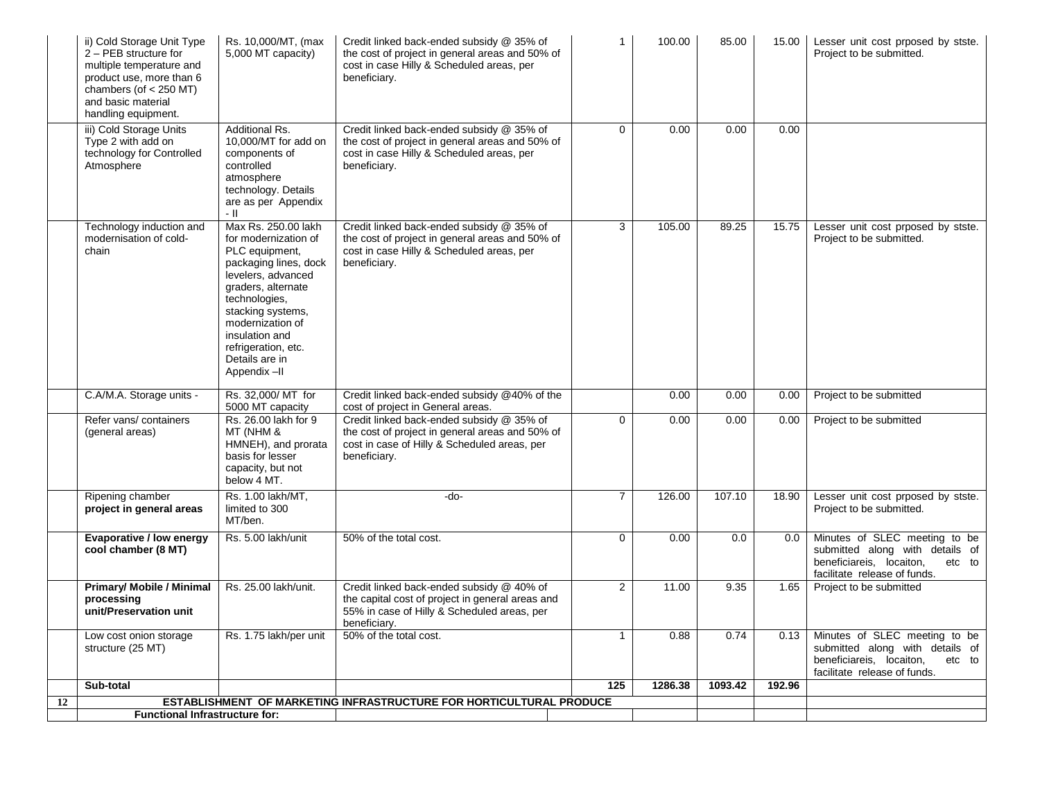|    | ii) Cold Storage Unit Type<br>2 - PEB structure for<br>multiple temperature and<br>product use, more than 6<br>chambers (of $<$ 250 MT)<br>and basic material<br>handling equipment. | Rs. 10,000/MT, (max<br>5,000 MT capacity)                                                                                                                                                                                                                              | Credit linked back-ended subsidy @ 35% of<br>the cost of project in general areas and 50% of<br>cost in case Hilly & Scheduled areas, per<br>beneficiary.    | $\mathbf{1}$   | 100.00  | 85.00   | 15.00  | Lesser unit cost prposed by stste.<br>Project to be submitted.                                                                         |
|----|--------------------------------------------------------------------------------------------------------------------------------------------------------------------------------------|------------------------------------------------------------------------------------------------------------------------------------------------------------------------------------------------------------------------------------------------------------------------|--------------------------------------------------------------------------------------------------------------------------------------------------------------|----------------|---------|---------|--------|----------------------------------------------------------------------------------------------------------------------------------------|
|    | iii) Cold Storage Units<br>Type 2 with add on<br>technology for Controlled<br>Atmosphere                                                                                             | <b>Additional Rs.</b><br>10,000/MT for add on<br>components of<br>controlled<br>atmosphere<br>technology. Details<br>are as per Appendix<br>- 11                                                                                                                       | Credit linked back-ended subsidy @ 35% of<br>the cost of project in general areas and 50% of<br>cost in case Hilly & Scheduled areas, per<br>beneficiary.    | $\mathbf{0}$   | 0.00    | 0.00    | 0.00   |                                                                                                                                        |
|    | Technology induction and<br>modernisation of cold-<br>chain                                                                                                                          | Max Rs. 250.00 lakh<br>for modernization of<br>PLC equipment,<br>packaging lines, dock<br>levelers, advanced<br>graders, alternate<br>technologies,<br>stacking systems,<br>modernization of<br>insulation and<br>refrigeration, etc.<br>Details are in<br>Appendix-II | Credit linked back-ended subsidy @ 35% of<br>the cost of project in general areas and 50% of<br>cost in case Hilly & Scheduled areas, per<br>beneficiary.    | 3              | 105.00  | 89.25   | 15.75  | Lesser unit cost prposed by stste.<br>Project to be submitted.                                                                         |
|    | C.A/M.A. Storage units -                                                                                                                                                             | Rs. 32,000/ MT for<br>5000 MT capacity                                                                                                                                                                                                                                 | Credit linked back-ended subsidy @40% of the<br>cost of project in General areas.                                                                            |                | 0.00    | 0.00    | 0.00   | Project to be submitted                                                                                                                |
|    | Refer vans/containers<br>(general areas)                                                                                                                                             | Rs. 26.00 lakh for 9<br>MT (NHM &<br>HMNEH), and prorata<br>basis for lesser<br>capacity, but not<br>below 4 MT.                                                                                                                                                       | Credit linked back-ended subsidy @ 35% of<br>the cost of project in general areas and 50% of<br>cost in case of Hilly & Scheduled areas, per<br>beneficiary. | $\Omega$       | 0.00    | 0.00    | 0.00   | Project to be submitted                                                                                                                |
|    | Ripening chamber<br>project in general areas                                                                                                                                         | Rs. 1.00 lakh/MT,<br>limited to 300<br>MT/ben.                                                                                                                                                                                                                         | -do-                                                                                                                                                         | $\overline{7}$ | 126.00  | 107.10  | 18.90  | Lesser unit cost prposed by stste.<br>Project to be submitted.                                                                         |
|    | Evaporative / low energy<br>cool chamber (8 MT)                                                                                                                                      | Rs. 5.00 lakh/unit                                                                                                                                                                                                                                                     | 50% of the total cost.                                                                                                                                       | $\Omega$       | 0.00    | 0.0     | 0.0    | Minutes of SLEC meeting to be<br>submitted along with details of<br>beneficiareis, locaiton,<br>etc to<br>facilitate release of funds. |
|    | <b>Primary/ Mobile / Minimal</b><br>processing<br>unit/Preservation unit                                                                                                             | Rs. 25.00 lakh/unit.                                                                                                                                                                                                                                                   | Credit linked back-ended subsidy @ 40% of<br>the capital cost of project in general areas and<br>55% in case of Hilly & Scheduled areas, per<br>beneficiary. | 2              | 11.00   | 9.35    | 1.65   | Project to be submitted                                                                                                                |
|    | Low cost onion storage<br>structure (25 MT)                                                                                                                                          | Rs. 1.75 lakh/per unit                                                                                                                                                                                                                                                 | 50% of the total cost.                                                                                                                                       | $\overline{1}$ | 0.88    | 0.74    | 0.13   | Minutes of SLEC meeting to be<br>submitted along with details of<br>beneficiareis, locaiton,<br>etc to<br>facilitate release of funds. |
|    | Sub-total                                                                                                                                                                            |                                                                                                                                                                                                                                                                        |                                                                                                                                                              | 125            | 1286.38 | 1093.42 | 192.96 |                                                                                                                                        |
| 12 | <b>Functional Infrastructure for:</b>                                                                                                                                                |                                                                                                                                                                                                                                                                        | ESTABLISHMENT OF MARKETING INFRASTRUCTURE FOR HORTICULTURAL PRODUCE                                                                                          |                |         |         |        |                                                                                                                                        |
|    |                                                                                                                                                                                      |                                                                                                                                                                                                                                                                        |                                                                                                                                                              |                |         |         |        |                                                                                                                                        |